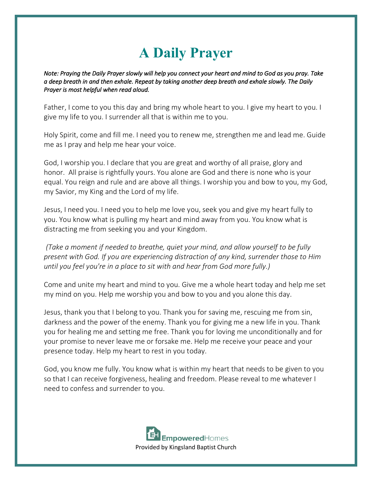## **A Daily Prayer**

*Note: Praying the Daily Prayer slowly will help you connect your heart and mind to God as you pray. Take a deep breath in and then exhale. Repeat by taking another deep breath and exhale slowly. The Daily Prayer is most helpful when read aloud.*

Father, I come to you this day and bring my whole heart to you. I give my heart to you. I give my life to you. I surrender all that is within me to you.

Holy Spirit, come and fill me. I need you to renew me, strengthen me and lead me. Guide me as I pray and help me hear your voice.

God, I worship you. I declare that you are great and worthy of all praise, glory and honor. All praise is rightfully yours. You alone are God and there is none who is your equal. You reign and rule and are above all things. I worship you and bow to you, my God, my Savior, my King and the Lord of my life.

Jesus, I need you. I need you to help me love you, seek you and give my heart fully to you. You know what is pulling my heart and mind away from you. You know what is distracting me from seeking you and your Kingdom.

*(Take a moment if needed to breathe, quiet your mind, and allow yourself to be fully present with God. If you are experiencing distraction of any kind, surrender those to Him until you feel you're in a place to sit with and hear from God more fully.)*

Come and unite my heart and mind to you. Give me a whole heart today and help me set my mind on you. Help me worship you and bow to you and you alone this day.

Jesus, thank you that I belong to you. Thank you for saving me, rescuing me from sin, darkness and the power of the enemy. Thank you for giving me a new life in you. Thank you for healing me and setting me free. Thank you for loving me unconditionally and for your promise to never leave me or forsake me. Help me receive your peace and your presence today. Help my heart to rest in you today.

God, you know me fully. You know what is within my heart that needs to be given to you so that I can receive forgiveness, healing and freedom. Please reveal to me whatever I need to confess and surrender to you.

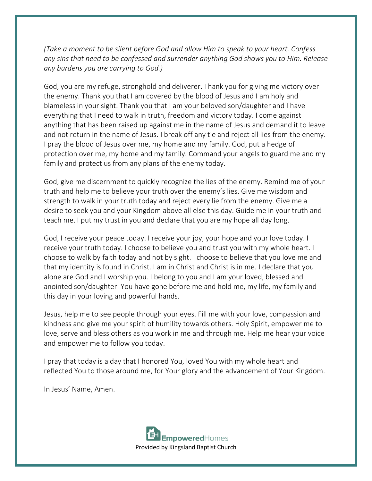*(Take a moment to be silent before God and allow Him to speak to your heart. Confess any sins that need to be confessed and surrender anything God shows you to Him. Release any burdens you are carrying to God.)*

God, you are my refuge, stronghold and deliverer. Thank you for giving me victory over the enemy. Thank you that I am covered by the blood of Jesus and I am holy and blameless in your sight. Thank you that I am your beloved son/daughter and I have everything that I need to walk in truth, freedom and victory today. I come against anything that has been raised up against me in the name of Jesus and demand it to leave and not return in the name of Jesus. I break off any tie and reject all lies from the enemy. I pray the blood of Jesus over me, my home and my family. God, put a hedge of protection over me, my home and my family. Command your angels to guard me and my family and protect us from any plans of the enemy today.

God, give me discernment to quickly recognize the lies of the enemy. Remind me of your truth and help me to believe your truth over the enemy's lies. Give me wisdom and strength to walk in your truth today and reject every lie from the enemy. Give me a desire to seek you and your Kingdom above all else this day. Guide me in your truth and teach me. I put my trust in you and declare that you are my hope all day long.

God, I receive your peace today. I receive your joy, your hope and your love today. I receive your truth today. I choose to believe you and trust you with my whole heart. I choose to walk by faith today and not by sight. I choose to believe that you love me and that my identity is found in Christ. I am in Christ and Christ is in me. I declare that you alone are God and I worship you. I belong to you and I am your loved, blessed and anointed son/daughter. You have gone before me and hold me, my life, my family and this day in your loving and powerful hands.

Jesus, help me to see people through your eyes. Fill me with your love, compassion and kindness and give me your spirit of humility towards others. Holy Spirit, empower me to love, serve and bless others as you work in me and through me. Help me hear your voice and empower me to follow you today.

I pray that today is a day that I honored You, loved You with my whole heart and reflected You to those around me, for Your glory and the advancement of Your Kingdom.

In Jesus' Name, Amen.

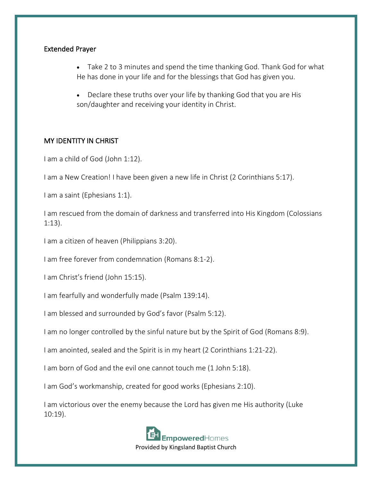## Extended Prayer

- Take 2 to 3 minutes and spend the time thanking God. Thank God for what He has done in your life and for the blessings that God has given you.
- Declare these truths over your life by thanking God that you are His son/daughter and receiving your identity in Christ.

## MY IDENTITY IN CHRIST

I am a child of God (John 1:12).

I am a New Creation! I have been given a new life in Christ (2 Corinthians 5:17).

I am a saint (Ephesians 1:1).

I am rescued from the domain of darkness and transferred into His Kingdom (Colossians 1:13).

I am a citizen of heaven (Philippians 3:20).

I am free forever from condemnation (Romans 8:1-2).

I am Christ's friend (John 15:15).

I am fearfully and wonderfully made (Psalm 139:14).

I am blessed and surrounded by God's favor (Psalm 5:12).

I am no longer controlled by the sinful nature but by the Spirit of God (Romans 8:9).

I am anointed, sealed and the Spirit is in my heart (2 Corinthians 1:21-22).

I am born of God and the evil one cannot touch me (1 John 5:18).

I am God's workmanship, created for good works (Ephesians 2:10).

I am victorious over the enemy because the Lord has given me His authority (Luke 10:19).



Provided by Kingsland Baptist Church